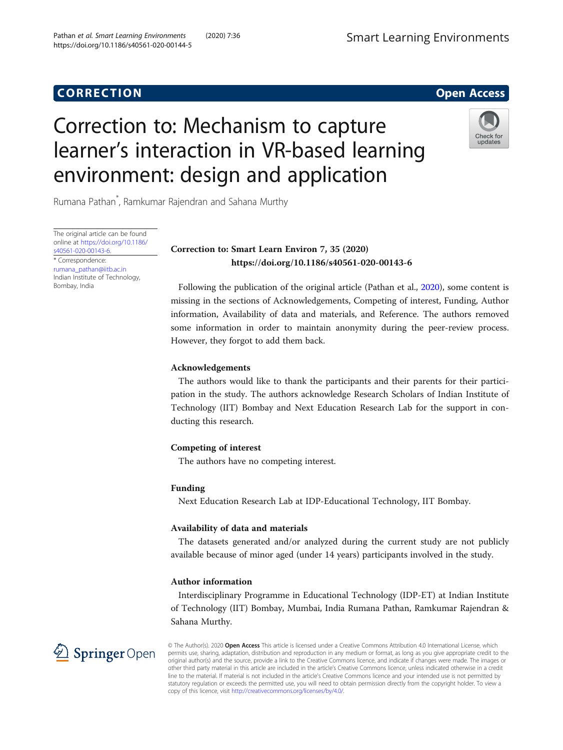# **CORRECTION CORRECTION**

# Correction to: Mechanism to capture learner's interaction in VR-based learning environment: design and application



Rumana Pathan\* , Ramkumar Rajendran and Sahana Murthy

The original article can be found online at [https://doi.org/10.1186/](https://doi.org/10.1186/s40561-020-00143-6) [s40561-020-00143-6](https://doi.org/10.1186/s40561-020-00143-6). \* Correspondence: [rumana\\_pathan@iitb.ac.in](mailto:rumana_pathan@iitb.ac.in) Indian Institute of Technology, Bombay, India

## Correction to: Smart Learn Environ 7, 35 (2020) https://doi.org/10.1186/s40561-020-00143-6

Following the publication of the original article (Pathan et al., [2020](#page-1-0)), some content is missing in the sections of Acknowledgements, Competing of interest, Funding, Author information, Availability of data and materials, and Reference. The authors removed some information in order to maintain anonymity during the peer-review process. However, they forgot to add them back.

#### Acknowledgements

The authors would like to thank the participants and their parents for their participation in the study. The authors acknowledge Research Scholars of Indian Institute of Technology (IIT) Bombay and Next Education Research Lab for the support in conducting this research.

### Competing of interest

The authors have no competing interest.

#### Funding

Next Education Research Lab at IDP-Educational Technology, IIT Bombay.

### Availability of data and materials

The datasets generated and/or analyzed during the current study are not publicly available because of minor aged (under 14 years) participants involved in the study.

### Author information

Interdisciplinary Programme in Educational Technology (IDP-ET) at Indian Institute of Technology (IIT) Bombay, Mumbai, India Rumana Pathan, Ramkumar Rajendran & Sahana Murthy.



© The Author(s). 2020 Open Access This article is licensed under a Creative Commons Attribution 4.0 International License, which permits use, sharing, adaptation, distribution and reproduction in any medium or format, as long as you give appropriate credit to the original author(s) and the source, provide a link to the Creative Commons licence, and indicate if changes were made. The images or other third party material in this article are included in the article's Creative Commons licence, unless indicated otherwise in a credit line to the material. If material is not included in the article's Creative Commons licence and your intended use is not permitted by statutory regulation or exceeds the permitted use, you will need to obtain permission directly from the copyright holder. To view a copy of this licence, visit <http://creativecommons.org/licenses/by/4.0/>.